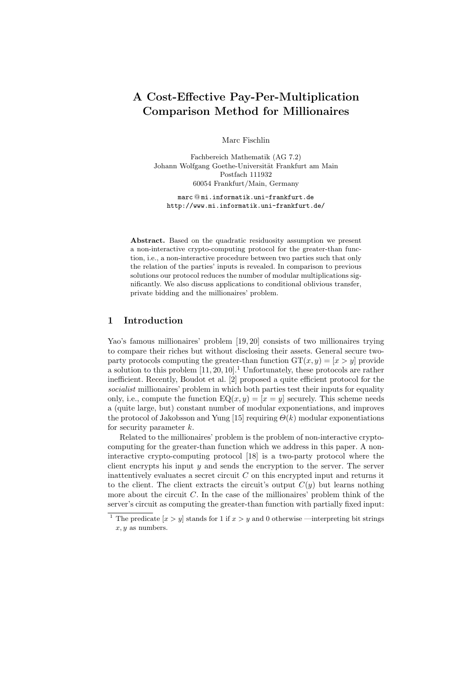# A Cost-Effective Pay-Per-Multiplication Comparison Method for Millionaires

Marc Fischlin

Fachbereich Mathematik (AG 7.2) Johann Wolfgang Goethe-Universität Frankfurt am Main Postfach 111932 60054 Frankfurt/Main, Germany

marc @ mi.informatik.uni-frankfurt.de http://www.mi.informatik.uni-frankfurt.de/

Abstract. Based on the quadratic residuosity assumption we present a non-interactive crypto-computing protocol for the greater-than function, i.e., a non-interactive procedure between two parties such that only the relation of the parties' inputs is revealed. In comparison to previous solutions our protocol reduces the number of modular multiplications significantly. We also discuss applications to conditional oblivious transfer, private bidding and the millionaires' problem.

# 1 Introduction

Yao's famous millionaires' problem [19, 20] consists of two millionaires trying to compare their riches but without disclosing their assets. General secure twoparty protocols computing the greater-than function  $GT(x, y) = [x > y]$  provide a solution to this problem  $[11, 20, 10]$ .<sup>1</sup> Unfortunately, these protocols are rather inefficient. Recently, Boudot et al. [2] proposed a quite efficient protocol for the socialist millionaires' problem in which both parties test their inputs for equality only, i.e., compute the function  $EQ(x, y) = [x = y]$  securely. This scheme needs a (quite large, but) constant number of modular exponentiations, and improves the protocol of Jakobsson and Yung [15] requiring  $\Theta(k)$  modular exponentiations for security parameter  $k$ .

Related to the millionaires' problem is the problem of non-interactive cryptocomputing for the greater-than function which we address in this paper. A noninteractive crypto-computing protocol [18] is a two-party protocol where the client encrypts his input  $y$  and sends the encryption to the server. The server inattentively evaluates a secret circuit  $C$  on this encrypted input and returns it to the client. The client extracts the circuit's output  $C(y)$  but learns nothing more about the circuit  $C$ . In the case of the millionaires' problem think of the server's circuit as computing the greater-than function with partially fixed input:

<sup>&</sup>lt;sup>1</sup> The predicate  $[x > y]$  stands for 1 if  $x > y$  and 0 otherwise —interpreting bit strings  $x, y$  as numbers.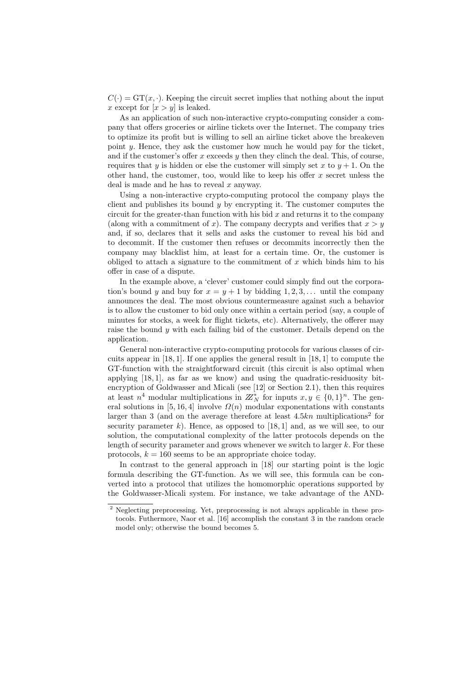$C(\cdot) = \text{GT}(x, \cdot)$ . Keeping the circuit secret implies that nothing about the input x except for  $|x > y|$  is leaked.

As an application of such non-interactive crypto-computing consider a company that offers groceries or airline tickets over the Internet. The company tries to optimize its profit but is willing to sell an airline ticket above the breakeven point y. Hence, they ask the customer how much he would pay for the ticket, and if the customer's offer  $x$  exceeds  $y$  then they clinch the deal. This, of course, requires that y is hidden or else the customer will simply set x to  $y + 1$ . On the other hand, the customer, too, would like to keep his offer  $x$  secret unless the deal is made and he has to reveal  $x$  anyway.

Using a non-interactive crypto-computing protocol the company plays the client and publishes its bound  $y$  by encrypting it. The customer computes the circuit for the greater-than function with his bid  $x$  and returns it to the company (along with a commitment of x). The company decrypts and verifies that  $x > y$ and, if so, declares that it sells and asks the customer to reveal his bid and to decommit. If the customer then refuses or decommits incorrectly then the company may blacklist him, at least for a certain time. Or, the customer is obliged to attach a signature to the commitment of x which binds him to his offer in case of a dispute.

In the example above, a 'clever' customer could simply find out the corporation's bound y and buy for  $x = y + 1$  by bidding 1, 2, 3,... until the company announces the deal. The most obvious countermeasure against such a behavior is to allow the customer to bid only once within a certain period (say, a couple of minutes for stocks, a week for flight tickets, etc). Alternatively, the offerer may raise the bound  $\eta$  with each failing bid of the customer. Details depend on the application.

General non-interactive crypto-computing protocols for various classes of circuits appear in [18, 1]. If one applies the general result in [18, 1] to compute the GT-function with the straightforward circuit (this circuit is also optimal when applying  $[18, 1]$ , as far as we know) and using the quadratic-residuosity bitencryption of Goldwasser and Micali (see [12] or Section 2.1), then this requires at least  $n^4$  modular multiplications in  $Z_N^*$  for inputs  $x, y \in \{0,1\}^n$ . The general solutions in [5, 16, 4] involve  $\Omega(n)$  modular exponentations with constants larger than 3 (and on the average therefore at least  $4.5kn$  multiplications<sup>2</sup> for security parameter k). Hence, as opposed to  $[18, 1]$  and, as we will see, to our solution, the computational complexity of the latter protocols depends on the length of security parameter and grows whenever we switch to larger  $k$ . For these protocols,  $k = 160$  seems to be an appropriate choice today.

In contrast to the general approach in [18] our starting point is the logic formula describing the GT-function. As we will see, this formula can be converted into a protocol that utilizes the homomorphic operations supported by the Goldwasser-Micali system. For instance, we take advantage of the AND-

<sup>2</sup> Neglecting preprocessing. Yet, preprocessing is not always applicable in these protocols. Futhermore, Naor et al. [16] accomplish the constant 3 in the random oracle model only; otherwise the bound becomes 5.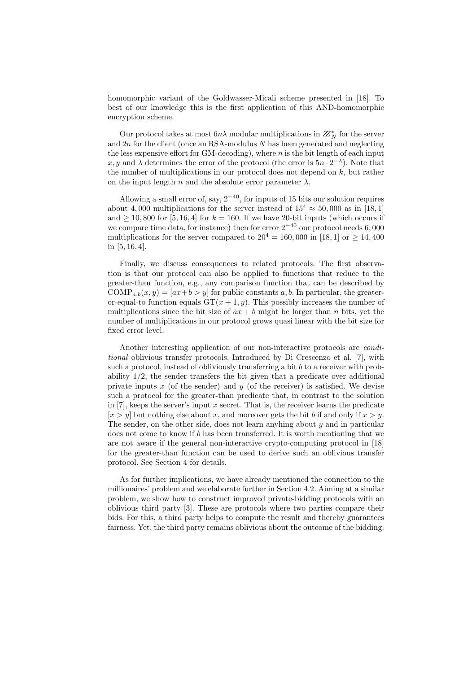homomorphic variant of the Goldwasser-Micali scheme presented in [18]. To best of our knowledge this is the first application of this AND-homomorphic encryption scheme.

Our protocol takes at most  $6n\lambda$  modular multiplications in  $\mathbb{Z}_N^*$  for the server and  $2n$  for the client (once an RSA-modulus  $N$  has been generated and neglecting the less expensive effort for  $GM$ -decoding), where  $n$  is the bit length of each input x, y and  $\lambda$  determines the error of the protocol (the error is  $5n \cdot 2^{-\lambda}$ ). Note that the number of multiplications in our protocol does not depend on  $k$ , but rather on the input length n and the absolute error parameter  $\lambda$ .

Allowing a small error of, say,  $2^{-40}$ , for inputs of 15 bits our solution requires about 4,000 multiplications for the server instead of  $15^4 \approx 50,000$  as in [18, 1] and  $> 10,800$  for [5, 16, 4] for  $k = 160$ . If we have 20-bit inputs (which occurs if we compare time data, for instance) then for error  $2^{-40}$  our protocol needs 6,000 multiplications for the server compared to  $20^4 = 160,000$  in [18, 1] or  $\geq 14,400$ in [5, 16, 4].

Finally, we discuss consequences to related protocols. The first observation is that our protocol can also be applied to functions that reduce to the greater-than function, e.g., any comparison function that can be described by  $\text{COMP}_{a,b}(x, y) = [ax+b > y]$  for public constants a, b. In particular, the greateror-equal-to function equals  $GT(x + 1, y)$ . This possibly increases the number of multiplications since the bit size of  $ax + b$  might be larger than n bits, yet the number of multiplications in our protocol grows quasi linear with the bit size for fixed error level.

Another interesting application of our non-interactive protocols are conditional oblivious transfer protocols. Introduced by Di Crescenzo et al. [7], with such a protocol, instead of obliviously transferring a bit  $b$  to a receiver with probability 1/2, the sender transfers the bit given that a predicate over additional private inputs x (of the sender) and y (of the receiver) is satisfied. We devise such a protocol for the greater-than predicate that, in contrast to the solution in [7], keeps the server's input  $x$  secret. That is, the receiver learns the predicate  $[x > y]$  but nothing else about x, and moreover gets the bit b if and only if  $x > y$ . The sender, on the other side, does not learn anyhing about  $y$  and in particular does not come to know if b has been transferred. It is worth mentioning that we are not aware if the general non-interactive crypto-computing protocol in [18] for the greater-than function can be used to derive such an oblivious transfer protocol. See Section 4 for details.

As for further implications, we have already mentioned the connection to the millionaires' problem and we elaborate further in Section 4.2. Aiming at a similar problem, we show how to construct improved private-bidding protocols with an oblivious third party [3]. These are protocols where two parties compare their bids. For this, a third party helps to compute the result and thereby guarantees fairness. Yet, the third party remains oblivious about the outcome of the bidding.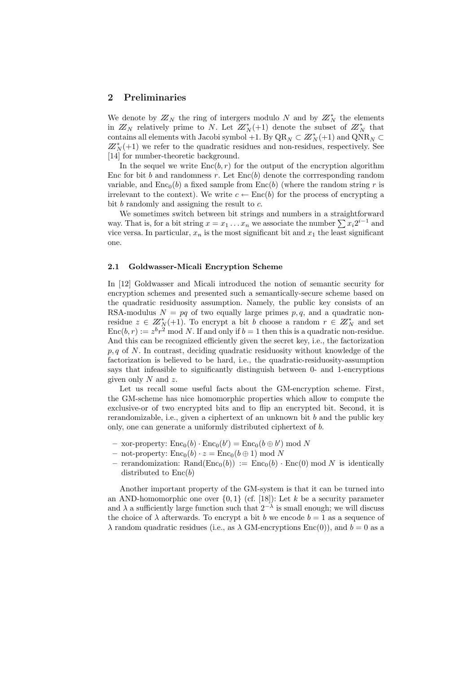# 2 Preliminaries

We denote by  $Z_N$  the ring of intergers modulo N and by  $Z_N^*$  the elements in  $Z_N$  relatively prime to N. Let  $Z_N^*(+1)$  denote the subset of  $Z_N^*$  that contains all elements with Jacobi symbol +1. By  $QR_N \subset Z_N^*(+1)$  and  $Q_{\text{NR}_N} \subset$  $Z_N^*(+1)$  we refer to the quadratic residues and non-residues, respectively. See [14] for number-theoretic background.

In the sequel we write  $Enc(b, r)$  for the output of the encryption algorithm Enc for bit b and randomness r. Let  $Enc(b)$  denote the corrresponding random variable, and  $Enc_0(b)$  a fixed sample from  $Enc(b)$  (where the random string r is irrelevant to the context). We write  $c \leftarrow \text{Enc}(b)$  for the process of encrypting a bit  $b$  randomly and assigning the result to  $c$ .

We sometimes switch between bit strings and numbers in a straightforward way. That is, for a bit string  $x = x_1 \ldots x_n$  we associate the number  $\sum x_i 2^{i-1}$  and vice versa. In particular,  $x_n$  is the most significant bit and  $x_1$  the least significant one.

# 2.1 Goldwasser-Micali Encryption Scheme

In [12] Goldwasser and Micali introduced the notion of semantic security for encryption schemes and presented such a semantically-secure scheme based on the quadratic residuosity assumption. Namely, the public key consists of an RSA-modulus  $N = pq$  of two equally large primes p, q, and a quadratic nonresidue  $z \in \mathbb{Z}_N^*(+1)$ . To encrypt a bit b choose a random  $r \in \mathbb{Z}_N^*$  and set  $Enc(b, r) := z^{b}r^{2} \mod N$ . If and only if  $b = 1$  then this is a quadratic non-residue. And this can be recognized efficiently given the secret key, i.e., the factorization  $p, q$  of N. In contrast, deciding quadratic residuosity without knowledge of the factorization is believed to be hard, i.e., the quadratic-residuosity-assumption says that infeasible to significantly distinguish between 0- and 1-encryptions given only  $N$  and  $z$ .

Let us recall some useful facts about the GM-encryption scheme. First, the GM-scheme has nice homomorphic properties which allow to compute the exclusive-or of two encrypted bits and to flip an encrypted bit. Second, it is rerandomizable, i.e., given a ciphertext of an unknown bit  $b$  and the public key only, one can generate a uniformly distributed ciphertext of b.

- xor-property:  $\text{Enc}_0(b) \cdot \text{Enc}_0(b') = \text{Enc}_0(b \oplus b') \mod N$
- not-property:  $\text{Enc}_0(b) \cdot z = \text{Enc}_0(b \oplus 1) \text{ mod } N$
- rerandomization: Rand( $\text{Enc}_0(b) := \text{Enc}_0(b) \cdot \text{Enc}(0) \mod N$  is identically distributed to  $Enc(b)$

Another important property of the GM-system is that it can be turned into an AND-homomorphic one over  $\{0,1\}$  (cf. [18]): Let k be a security parameter and  $\lambda$  a sufficiently large function such that  $2^{-\lambda}$  is small enough; we will discuss the choice of  $\lambda$  afterwards. To encrypt a bit b we encode  $b = 1$  as a sequence of  $\lambda$  random quadratic residues (i.e., as  $\lambda$  GM-encryptions Enc(0)), and  $b = 0$  as a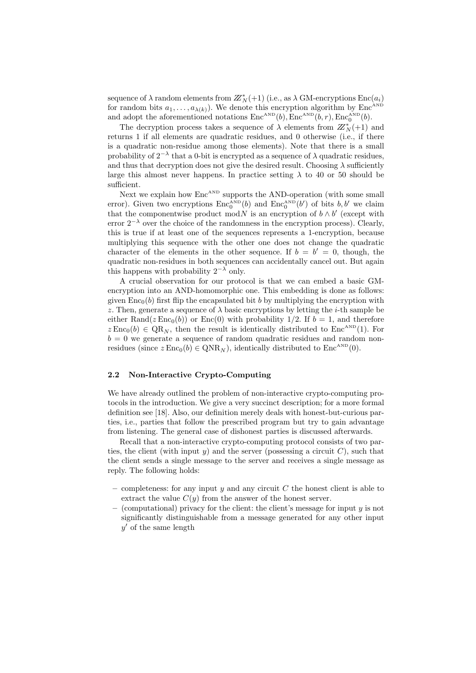sequence of  $\lambda$  random elements from  $\bar{Z}^*_N(+1)$  (i.e., as  $\lambda$  GM-encryptions  $\mathrm{Enc}(a_i)$ for random bits  $a_1, \ldots, a_{\lambda(k)}$ . We denote this encryption algorithm by Enc<sup>AND</sup> and adopt the aforementioned notations  $Enc<sup>AND</sup>(b), Enc<sup>AND</sup>(b, r), Enc<sup>AND</sup>(b).$ 

The decryption process takes a sequence of  $\lambda$  elements from  $Z_N^*(+1)$  and returns 1 if all elements are quadratic residues, and 0 otherwise (i.e., if there is a quadratic non-residue among those elements). Note that there is a small probability of  $2^{-\lambda}$  that a 0-bit is encrypted as a sequence of  $\lambda$  quadratic residues, and thus that decryption does not give the desired result. Choosing  $\lambda$  sufficiently large this almost never happens. In practice setting  $\lambda$  to 40 or 50 should be sufficient.

Next we explain how  $Enc<sup>AND</sup>$  supports the AND-operation (with some small error). Given two encryptions  $Enc_0^{\text{AND}}(b)$  and  $Enc_0^{\text{AND}}(b')$  of bits  $b, b'$  we claim that the componentwise product mod $N$  is an encryption of  $b \wedge b'$  (except with error  $2^{-\lambda}$  over the choice of the randomness in the encryption process). Clearly, this is true if at least one of the sequences represents a 1-encryption, because multiplying this sequence with the other one does not change the quadratic character of the elements in the other sequence. If  $b = b' = 0$ , though, the quadratic non-residues in both sequences can accidentally cancel out. But again this happens with probability  $2^{-\lambda}$  only.

A crucial observation for our protocol is that we can embed a basic GMencryption into an AND-homomorphic one. This embedding is done as follows: given  $Enc_0(b)$  first flip the encapsulated bit b by multiplying the encryption with z. Then, generate a sequence of  $\lambda$  basic encryptions by letting the *i*-th sample be either Rand( $z \operatorname{Enc}_0(b)$ ) or  $\operatorname{Enc}(0)$  with probability 1/2. If  $b = 1$ , and therefore  $z\operatorname{Enc}_0(b) \in \overline{\mathbf{QR}_N}$ , then the result is identically distributed to  $\operatorname{Enc}^{\operatorname{AND}}(1)$ . For  $b = 0$  we generate a sequence of random quadratic residues and random nonresidues (since  $z \operatorname{Enc}_0(b) \in \text{QNR}_N$ ), identically distributed to  $\operatorname{Enc}^{\text{AND}}(0)$ .

## 2.2 Non-Interactive Crypto-Computing

We have already outlined the problem of non-interactive crypto-computing protocols in the introduction. We give a very succinct description; for a more formal definition see [18]. Also, our definition merely deals with honest-but-curious parties, i.e., parties that follow the prescribed program but try to gain advantage from listening. The general case of dishonest parties is discussed afterwards.

Recall that a non-interactive crypto-computing protocol consists of two parties, the client (with input y) and the server (possessing a circuit C), such that the client sends a single message to the server and receives a single message as reply. The following holds:

- completeness: for any input y and any circuit C the honest client is able to extract the value  $C(y)$  from the answer of the honest server.
- (computational) privacy for the client: the client's message for input  $y$  is not significantly distinguishable from a message generated for any other input  $y'$  of the same length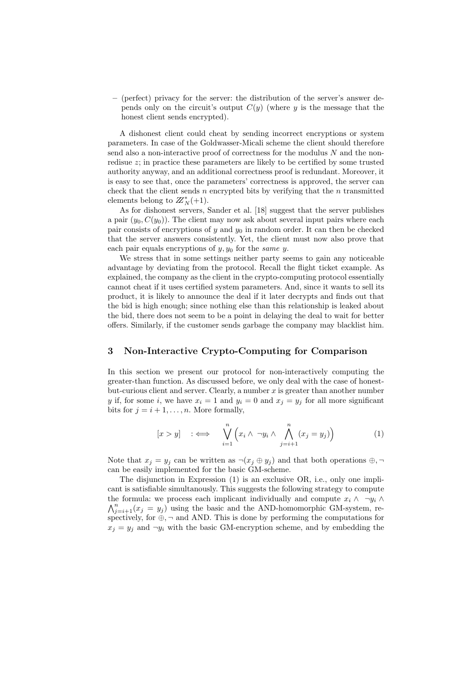– (perfect) privacy for the server: the distribution of the server's answer depends only on the circuit's output  $C(y)$  (where y is the message that the honest client sends encrypted).

A dishonest client could cheat by sending incorrect encryptions or system parameters. In case of the Goldwasser-Micali scheme the client should therefore send also a non-interactive proof of correctness for the modulus  $N$  and the nonredisue z; in practice these parameters are likely to be certified by some trusted authority anyway, and an additional correctness proof is redundant. Moreover, it is easy to see that, once the parameters' correctness is approved, the server can check that the client sends n encrypted bits by verifying that the n transmitted elements belong to  $Z_N^*(+1)$ .

As for dishonest servers, Sander et al. [18] suggest that the server publishes a pair  $(y_0, C(y_0))$ . The client may now ask about several input pairs where each pair consists of encryptions of  $y$  and  $y_0$  in random order. It can then be checked that the server answers consistently. Yet, the client must now also prove that each pair equals encryptions of  $y, y_0$  for the same y.

We stress that in some settings neither party seems to gain any noticeable advantage by deviating from the protocol. Recall the flight ticket example. As explained, the company as the client in the crypto-computing protocol essentially cannot cheat if it uses certified system parameters. And, since it wants to sell its product, it is likely to announce the deal if it later decrypts and finds out that the bid is high enough; since nothing else than this relationship is leaked about the bid, there does not seem to be a point in delaying the deal to wait for better offers. Similarly, if the customer sends garbage the company may blacklist him.

## 3 Non-Interactive Crypto-Computing for Comparison

In this section we present our protocol for non-interactively computing the greater-than function. As discussed before, we only deal with the case of honestbut-curious client and server. Clearly, a number  $x$  is greater than another number y if, for some i, we have  $x_i = 1$  and  $y_i = 0$  and  $x_j = y_j$  for all more significant bits for  $j = i + 1, \ldots, n$ . More formally,

$$
[x > y] \quad : \iff \quad \bigvee_{i=1}^{n} \left( x_i \land \neg y_i \land \bigwedge_{j=i+1}^{n} (x_j = y_j) \right) \tag{1}
$$

Note that  $x_j = y_j$  can be written as  $\neg(x_j \oplus y_j)$  and that both operations  $\oplus$ ,  $\neg$ can be easily implemented for the basic GM-scheme.

The disjunction in Expression (1) is an exclusive OR, i.e., only one implicant is satisfiable simultanously. This suggests the following strategy to compute the formula: we process each implicant individually and compute  $x_i \wedge \neg y_i \wedge$  $\bigwedge_{j=i+1}^{n}(x_j = y_j)$  using the basic and the AND-homomorphic GM-system, respectively, for  $\oplus$ ,  $\neg$  and AND. This is done by performing the computations for  $x_j = y_j$  and  $\neg y_i$  with the basic GM-encryption scheme, and by embedding the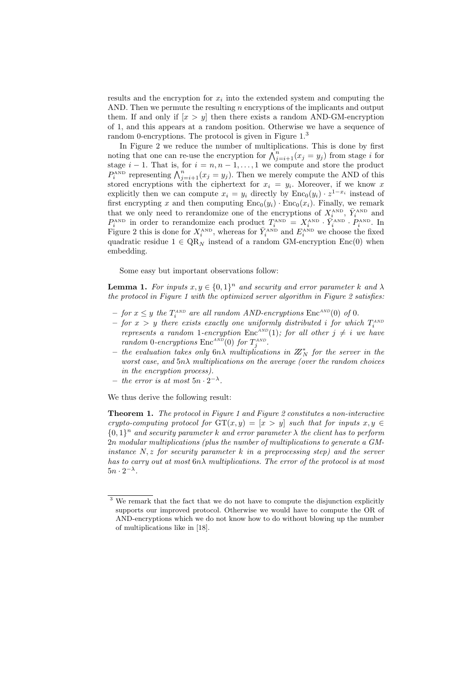results and the encryption for  $x_i$  into the extended system and computing the AND. Then we permute the resulting n encryptions of the implicants and output them. If and only if  $[x > y]$  then there exists a random AND-GM-encryption of 1, and this appears at a random position. Otherwise we have a sequence of random 0-encryptions. The protocol is given in Figure 1.<sup>3</sup>

In Figure 2 we reduce the number of multiplications. This is done by first noting that one can re-use the encryption for  $\bigwedge_{j=i+1}^{n} (x_j = y_j)$  from stage i for stage  $i-1$ . That is, for  $i = n, n-1, \ldots, 1$  we compute and store the product  $P_i^{\text{AND}}$  representing  $\bigwedge_{j=i+1}^n (x_j = y_j)$ . Then we merely compute the AND of this stored encryptions with the ciphertext for  $x_i = y_i$ . Moreover, if we know x explicitly then we can compute  $x_i = y_i$  directly by  $\text{Enc}_0(y_i) \cdot z^{1-x_i}$  instead of first encrypting x and then computing  $Enc_0(y_i) \cdot Enc_0(x_i)$ . Finally, we remark that we only need to rerandomize one of the encryptions of  $X_i^{\text{AND}}, \bar{Y}_i^{\text{AND}}$  and  $P_i^{\text{AND}}$  in order to rerandomize each product  $T_i^{\text{AND}} = X_i^{\text{AND}} \cdot \bar{Y}_i^{\text{AND}} \cdot P_i^{\text{AND}}$ . In Figure 2 this is done for  $X_i^{\text{AND}}$ , whereas for  $\bar{Y}_i^{\text{AND}}$  and  $E_i^{\text{AND}}$  we choose the fixed quadratic residue  $1 \in QR_N$  instead of a random GM-encryption Enc(0) when embedding.

Some easy but important observations follow:

**Lemma 1.** For inputs  $x, y \in \{0, 1\}^n$  and security and error parameter k and  $\lambda$ the protocol in Figure 1 with the optimized server algorithm in Figure 2 satisfies:

- for  $x \leq y$  the  $T_i^{AND}$  are all random AND-encryptions  $Enc^{AND}(0)$  of 0.
- $-$  for  $x > y$  there exists exactly one uniformly distributed i for which  $T_i^{_{\Lambda N\!L}}$ represents a random 1-encryption  $Enc<sup>AND</sup>(1)$ ; for all other  $j \neq i$  we have random 0-encryptions  $\text{Enc}^{AND}(0)$  for  $T_j^{AND}$ .
- $-$  the evaluation takes only  $6n\lambda$  multiplications in  $\mathbb{Z}_N^*$  for the server in the worst case, and  $5n\lambda$  multiplications on the average (over the random choices in the encryption process).
- $-$  the error is at most  $5n \cdot 2^{-\lambda}$ .

We thus derive the following result:

Theorem 1. The protocol in Figure 1 and Figure 2 constitutes a non-interactive crypto-computing protocol for  $GT(x, y) = [x > y]$  such that for inputs  $x, y \in$  ${0,1}^n$  and security parameter k and error parameter  $\lambda$  the client has to perform 2n modular multiplications (plus the number of multiplications to generate a GMinstance  $N, z$  for security parameter k in a preprocessing step) and the server has to carry out at most  $6n\lambda$  multiplications. The error of the protocol is at most  $5n \cdot 2^{-\lambda}$ .

<sup>&</sup>lt;sup>3</sup> We remark that the fact that we do not have to compute the disjunction explicitly supports our improved protocol. Otherwise we would have to compute the OR of AND-encryptions which we do not know how to do without blowing up the number of multiplications like in [18].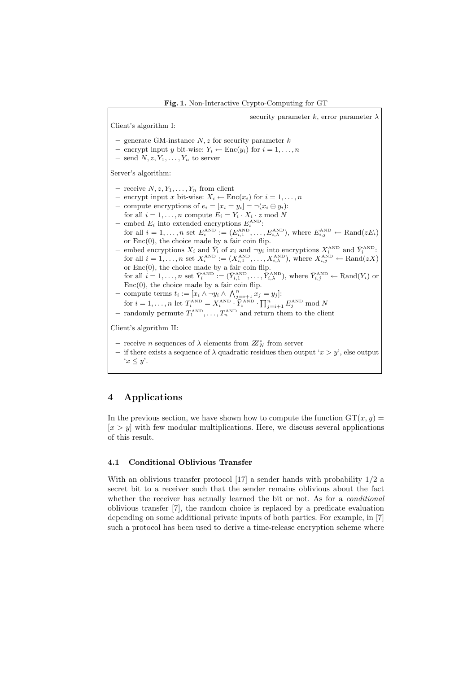security parameter k, error parameter  $\lambda$ Client's algorithm I: – generate GM-instance  $N, z$  for security parameter  $k$ – encrypt input y bit-wise:  $Y_i \leftarrow \text{Enc}(y_i)$  for  $i = 1, ..., n$ – send  $N, z, Y_1, \ldots, Y_n$  to server Server's algorithm: – receive  $N, z, Y_1, \ldots, Y_n$  from client – encrypt input x bit-wise:  $X_i \leftarrow \text{Enc}(x_i)$  for  $i = 1, ..., n$ – compute encryptions of  $e_i = [x_i = y_i] = \neg(x_i \oplus y_i)$ : for all  $i = 1, ..., n$  compute  $E_i = Y_i \cdot X_i \cdot z \mod N$ – embed  $E_i$  into extended encryptions  $E_i^{\text{AND}}$ : for all  $i = 1, \ldots, n$  set  $E_i^{\text{AND}} := (E_{i,1}^{\text{AND}}, \ldots, E_{i,\lambda}^{\text{AND}})$ , where  $E_{i,j}^{\text{AND}} \leftarrow \text{Rand}(zE_i)$ or  $Enc(0)$ , the choice made by a fair coin flip. – embed encryptions  $X_i$  and  $\bar{Y}_i$  of  $x_i$  and  $\neg y_i$  into encryptions  $X_i^{\text{AND}}$  and  $\bar{Y}_i^{\text{AND}}$ : for all  $i = 1, ..., n$  set  $X_i^{\text{AND}} := (X_{i,1}^{\text{AND}}, ..., X_{i,\lambda}^{\text{AND}})$ , where  $X_{i,j}^{\text{AND}} \leftarrow \text{Rand}(zX)$ or Enc(0), the choice made by a fair coin flip. for all  $i = 1, \ldots, n$  set  $\bar{Y}_i^{\text{AND}} := (\bar{Y}_{i,1}^{\text{AND}}, \ldots, \bar{Y}_{i,\lambda}^{\text{AND}})$ , where  $\bar{Y}_{i,j}^{\text{AND}} \leftarrow \text{Rand}(Y_i)$  or  $Enc(0)$ , the choice made by a fair coin flip. – compute terms  $t_i := [x_i \land \neg y_i \land \bigwedge_{j=i+1}^n x_j = y_j]$ : for  $i = 1, ..., n$  let  $T_i^{\text{AND}} = X_i^{\text{AND}} \cdot \overline{Y}_i^{\text{AND}} \cdot \prod_{j=i+1}^n E_j^{\text{AND}} \mod N$ - randomly permute  $T_1^{\text{AND}}, \ldots, T_n^{\text{AND}}$  and return them to the client Client's algorithm II: – receive *n* sequences of  $\lambda$  elements from  $\mathbb{Z}_N^*$  from server – if there exists a sequence of  $\lambda$  quadratic residues then output ' $x > y$ ', else output  $x \leq y'.$ 

# 4 Applications

In the previous section, we have shown how to compute the function  $GT(x, y) =$  $[x > y]$  with few modular multiplications. Here, we discuss several applications of this result.

# 4.1 Conditional Oblivious Transfer

With an oblivious transfer protocol [17] a sender hands with probability  $1/2$  a secret bit to a receiver such that the sender remains oblivious about the fact whether the receiver has actually learned the bit or not. As for a *conditional* oblivious transfer [7], the random choice is replaced by a predicate evaluation depending on some additional private inputs of both parties. For example, in [7] such a protocol has been used to derive a time-release encryption scheme where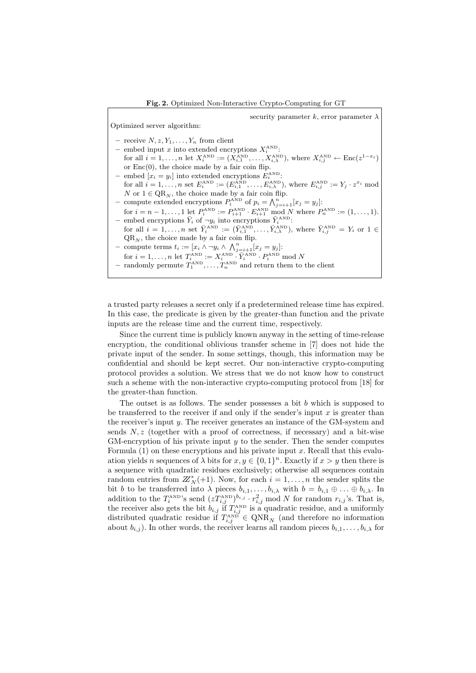Fig. 2. Optimized Non-Interactive Crypto-Computing for GT

| security parameter k, error parameter $\lambda$                                                                                                                                         |
|-----------------------------------------------------------------------------------------------------------------------------------------------------------------------------------------|
| Optimized server algorithm:                                                                                                                                                             |
| - receive $N, z, Y_1, \ldots, Y_n$ from client                                                                                                                                          |
| - embed input x into extended encryptions $X_i^{\text{AND}}$ :                                                                                                                          |
| for all $i = 1, , n$ let $X_i^{\text{AND}} := (X_{i,1}^{\text{AND}}, , X_{i,\lambda}^{\text{AND}})$ , where $X_{i,j}^{\text{AND}} \leftarrow \text{Enc}(z^{1-x_i})$                     |
| or $Enc(0)$ , the choice made by a fair coin flip.                                                                                                                                      |
| - embed $[x_i = y_i]$ into extended encryptions $E_i^{\text{AND}}$ :                                                                                                                    |
| for all $i = 1, \ldots, n$ set $E_i^{\text{AND}} := (E_{i,1}^{\text{AND}}, \ldots, E_{i,\lambda}^{\text{AND}})$ , where $E_{i,j}^{\text{AND}} := Y_j \cdot z^{x_i} \text{ mod } j$      |
| N or $1 \in QR_N$ , the choice made by a fair coin flip.                                                                                                                                |
| - compute extended encryptions $P_i^{\text{AND}}$ of $p_i = \bigwedge_{i=i+1}^n [x_j = y_j]$ :                                                                                          |
| for $i = n - 1, , 1$ let $P_i^{\text{AND}} := P_{i+1}^{\text{AND}} \cdot E_{i+1}^{\text{AND}} \mod N$ where $P_n^{\text{AND}} := (1, , 1)$ .                                            |
| - embed encryptions $\bar{Y}_i$ of $\neg y_i$ into encryptions $\bar{Y}_i^{\text{AND}}$ :                                                                                               |
| for all $i = 1, \ldots, n$ set $\bar{Y}_i^{\text{AND}} := (\bar{Y}_{i,1}^{\text{AND}}, \ldots, \bar{Y}_{i,\lambda}^{\text{AND}})$ , where $\bar{Y}_{i,j}^{\text{AND}} = Y_i$ or $1 \in$ |
| $QR_N$ , the choice made by a fair coin flip.                                                                                                                                           |
| - compute terms $t_i := [x_i \wedge \neg y_i \wedge \bigwedge_{i=i+1}^n [x_j = y_j]$ :                                                                                                  |
| for $i = 1, , n$ let $T_i^{\text{AND}} := X_i^{\text{AND}} \cdot \overline{Y}_i^{\text{AND}} \cdot P_i^{\text{AND}}$ mod N                                                              |
| - randomly permute $T_1^{\text{AND}}, \ldots, T_n^{\text{AND}}$ and return them to the client                                                                                           |
|                                                                                                                                                                                         |

a trusted party releases a secret only if a predetermined release time has expired. In this case, the predicate is given by the greater-than function and the private inputs are the release time and the current time, respectively.

Since the current time is publicly known anyway in the setting of time-release encryption, the conditional oblivious transfer scheme in [7] does not hide the private input of the sender. In some settings, though, this information may be confidential and should be kept secret. Our non-interactive crypto-computing protocol provides a solution. We stress that we do not know how to construct such a scheme with the non-interactive crypto-computing protocol from [18] for the greater-than function.

The outset is as follows. The sender possesses a bit b which is supposed to be transferred to the receiver if and only if the sender's input  $x$  is greater than the receiver's input y. The receiver generates an instance of the GM-system and sends  $N, z$  (together with a proof of correctness, if necessary) and a bit-wise GM-encryption of his private input  $y$  to the sender. Then the sender computes Formula  $(1)$  on these encryptions and his private input x. Recall that this evaluation yields n sequences of  $\lambda$  bits for  $x, y \in \{0, 1\}^n$ . Exactly if  $x > y$  then there is a sequence with quadratic residues exclusively; otherwise all sequences contain random entries from  $\mathbb{Z}_N^*(+1)$ . Now, for each  $i = 1, \ldots, n$  the sender splits the bit b to be transferred into  $\lambda$  pieces  $b_{i,1}, \ldots, b_{i,\lambda}$  with  $b = b_{i,1} \oplus \ldots \oplus b_{i,\lambda}$ . In addition to the  $T_i^{\text{AND}}$ 's send  $(zT_{i,j}^{\text{AND}})^{b_{i,j}} \cdot r_{i,j}^2 \mod N$  for random  $r_{i,j}$ 's. That is, the receiver also gets the bit  $b_{i,j}$  if  $T_{i,j}^{\text{AND}}$  is a quadratic residue, and a uniformly distributed quadratic residue if  $T_{i,j}^{\text{AND}} \in \text{QNR}_N$  (and therefore no information about  $b_{i,j}$ ). In other words, the receiver learns all random pieces  $b_{i,1}, \ldots, b_{i,\lambda}$  for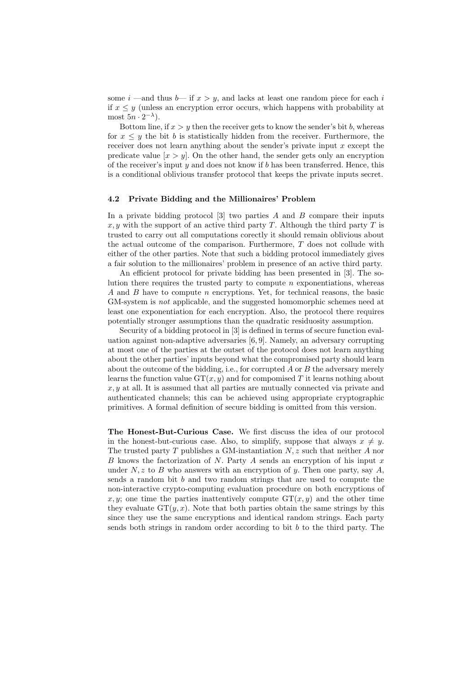some i —and thus b— if  $x > y$ , and lacks at least one random piece for each i if  $x \leq y$  (unless an encryption error occurs, which happens with probability at most  $5n \cdot 2^{-\lambda}$ ).

Bottom line, if  $x > y$  then the receiver gets to know the sender's bit b, whereas for  $x \leq y$  the bit b is statistically hidden from the receiver. Furthermore, the receiver does not learn anything about the sender's private input  $x$  except the predicate value  $[x > y]$ . On the other hand, the sender gets only an encryption of the receiver's input  $y$  and does not know if  $b$  has been transferred. Hence, this is a conditional oblivious transfer protocol that keeps the private inputs secret.

#### 4.2 Private Bidding and the Millionaires' Problem

In a private bidding protocol  $[3]$  two parties A and B compare their inputs x, y with the support of an active third party T. Although the third party T is trusted to carry out all computations corectly it should remain oblivious about the actual outcome of the comparison. Furthermore, T does not collude with either of the other parties. Note that such a bidding protocol immediately gives a fair solution to the millionaires' problem in presence of an active third party.

An efficient protocol for private bidding has been presented in [3]. The solution there requires the trusted party to compute  $n$  exponentiations, whereas  $A$  and  $B$  have to compute  $n$  encryptions. Yet, for technical reasons, the basic GM-system is *not* applicable, and the suggested homomorphic schemes need at least one exponentiation for each encryption. Also, the protocol there requires potentially stronger assumptions than the quadratic residuosity assumption.

Security of a bidding protocol in [3] is defined in terms of secure function evaluation against non-adaptive adversaries [6, 9]. Namely, an adversary corrupting at most one of the parties at the outset of the protocol does not learn anything about the other parties' inputs beyond what the compromised party should learn about the outcome of the bidding, i.e., for corrupted  $A$  or  $B$  the adversary merely learns the function value  $GT(x, y)$  and for compomised T it learns nothing about  $x, y$  at all. It is assumed that all parties are mutually connected via private and authenticated channels; this can be achieved using appropriate cryptographic primitives. A formal definition of secure bidding is omitted from this version.

The Honest-But-Curious Case. We first discuss the idea of our protocol in the honest-but-curious case. Also, to simplify, suppose that always  $x \neq y$ . The trusted party T publishes a GM-instantiation  $N, z$  such that neither A nor  $B$  knows the factorization of  $N$ . Party  $A$  sends an encryption of his input  $x$ under  $N, z$  to B who answers with an encryption of y. Then one party, say A, sends a random bit b and two random strings that are used to compute the non-interactive crypto-computing evaluation procedure on both encryptions of x, y; one time the parties inattentively compute  $GT(x, y)$  and the other time they evaluate  $GT(y, x)$ . Note that both parties obtain the same strings by this since they use the same encryptions and identical random strings. Each party sends both strings in random order according to bit  $b$  to the third party. The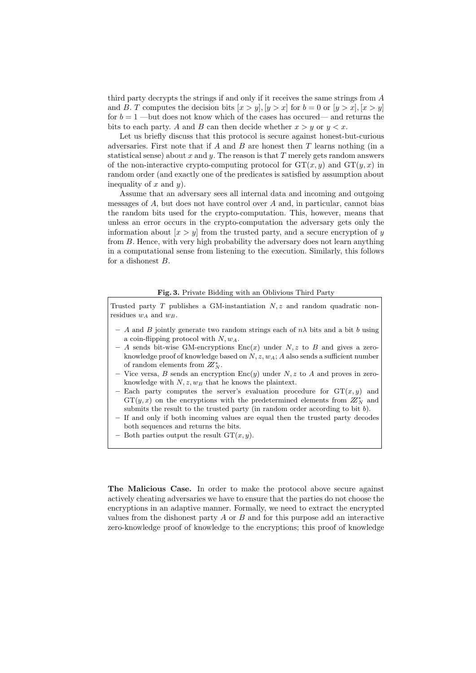third party decrypts the strings if and only if it receives the same strings from A and B. T computes the decision bits  $|x > y|, |y > x|$  for  $b = 0$  or  $|y > x|, |x > y|$ for  $b = 1$  —but does not know which of the cases has occured— and returns the bits to each party. A and B can then decide whether  $x > y$  or  $y < x$ .

Let us briefly discuss that this protocol is secure against honest-but-curious adversaries. First note that if A and B are honest then T learns nothing (in a statistical sense) about  $x$  and  $y$ . The reason is that  $T$  merely gets random answers of the non-interactive crypto-computing protocol for  $GT(x, y)$  and  $GT(y, x)$  in random order (and exactly one of the predicates is satisfied by assumption about inequality of  $x$  and  $y$ ).

Assume that an adversary sees all internal data and incoming and outgoing messages of  $A$ , but does not have control over  $A$  and, in particular, cannot bias the random bits used for the crypto-computation. This, however, means that unless an error occurs in the crypto-computation the adversary gets only the information about  $[x > y]$  from the trusted party, and a secure encryption of y from B. Hence, with very high probability the adversary does not learn anything in a computational sense from listening to the execution. Similarly, this follows for a dishonest B.

#### Fig. 3. Private Bidding with an Oblivious Third Party

Trusted party  $T$  publishes a GM-instantiation  $N, z$  and random quadratic nonresidues  $w_A$  and  $w_B$ .

- A and B jointly generate two random strings each of  $n\lambda$  bits and a bit b using a coin-flipping protocol with  $N, w_A$ .
- A sends bit-wise GM-encryptions  $Enc(x)$  under  $N, z$  to B and gives a zeroknowledge proof of knowledge based on  $N, z, w_A$ ; A also sends a sufficient number of random elements from  $\overline{Z}_{N}^{*}$ .
- Vice versa, B sends an encryption  $Enc(y)$  under  $N, z$  to A and proves in zeroknowledge with  $N, z, w_B$  that he knows the plaintext.
- Each party computes the server's evaluation procedure for  $GT(x, y)$  and  $GT(y, x)$  on the encryptions with the predetermined elements from  $Z_N^*$  and submits the result to the trusted party (in random order according to bit  $b$ ).
- If and only if both incoming values are equal then the trusted party decodes both sequences and returns the bits.
- Both parties output the result  $GT(x, y)$ .

The Malicious Case. In order to make the protocol above secure against actively cheating adversaries we have to ensure that the parties do not choose the encryptions in an adaptive manner. Formally, we need to extract the encrypted values from the dishonest party A or B and for this purpose add an interactive zero-knowledge proof of knowledge to the encryptions; this proof of knowledge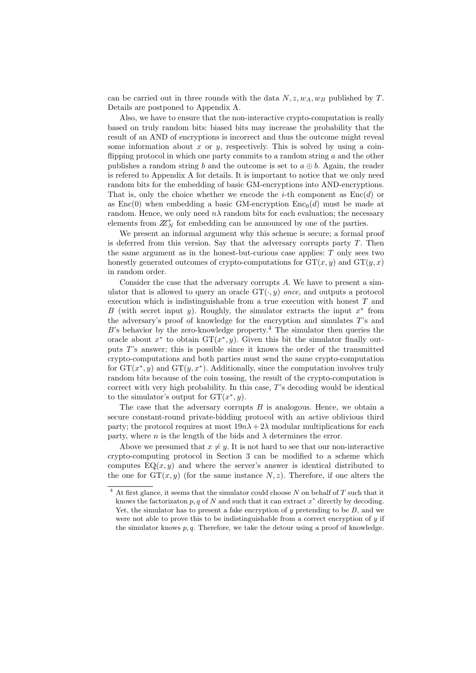can be carried out in three rounds with the data  $N, z, w_A, w_B$  published by T. Details are postponed to Appendix A.

Also, we have to ensure that the non-interactive crypto-computation is really based on truly random bits: biased bits may increase the probability that the result of an AND of encryptions is incorrect and thus the outcome might reveal some information about x or y, respectively. This is solved by using a coinflipping protocol in which one party commits to a random string  $a$  and the other publishes a random string b and the outcome is set to  $a \oplus b$ . Again, the reader is refered to Appendix A for details. It is important to notice that we only need random bits for the embedding of basic GM-encryptions into AND-encryptions. That is, only the choice whether we encode the *i*-th component as  $Enc(d)$  or as  $Enc(0)$  when embedding a basic GM-encryption  $Enc_0(d)$  must be made at random. Hence, we only need  $n\lambda$  random bits for each evaluation; the necessary elements from  $Z_N^*$  for embedding can be announced by one of the parties.

We present an informal argument why this scheme is secure; a formal proof is deferred from this version. Say that the adversary corrupts party  $T$ . Then the same argument as in the honest-but-curious case applies:  $T$  only sees two honestly generated outcomes of crypto-computations for  $GT(x, y)$  and  $GT(y, x)$ in random order.

Consider the case that the adversary corrupts A. We have to present a simulator that is allowed to query an oracle  $GT(\cdot, y)$  once, and outputs a protocol execution which is indistinguishable from a true execution with honest  $T$  and B (with secret input y). Roughly, the simulator extracts the input  $x^*$  from the adversary's proof of knowledge for the encryption and simulates T's and  $B$ 's behavior by the zero-knowledge property.<sup>4</sup> The simulator then queries the oracle about  $x^*$  to obtain  $GT(x^*, y)$ . Given this bit the simulator finally outputs T's answer; this is possible since it knows the order of the transmitted crypto-computations and both parties must send the same crypto-computation for  $GT(x^*, y)$  and  $GT(y, x^*)$ . Additionally, since the computation involves truly random bits because of the coin tossing, the result of the crypto-computation is correct with very high probability. In this case, T's decoding would be identical to the simulator's output for  $GT(x^*, y)$ .

The case that the adversary corrupts  $B$  is analogous. Hence, we obtain a secure constant-round private-bidding protocol with an active oblivious third party; the protocol requires at most  $19n\lambda + 2\lambda$  modular multiplications for each party, where *n* is the length of the bids and  $\lambda$  determines the error.

Above we presumed that  $x \neq y$ . It is not hard to see that our non-interactive crypto-computing protocol in Section 3 can be modified to a scheme which computes  $EQ(x, y)$  and where the server's answer is identical distributed to the one for  $GT(x, y)$  (for the same instance  $N, z$ ). Therefore, if one alters the

 $^4\,$  At first glance, it seems that the simulator could choose  $N$  on behalf of  $T$  such that it knows the factorizaton p, q of N and such that it can extract  $x^*$  directly by decoding. Yet, the simulator has to present a fake encryption of  $y$  pretending to be  $B$ , and we were not able to prove this to be indistinguishable from a correct encryption of  $y$  if the simulator knows  $p, q$ . Therefore, we take the detour using a proof of knowledge.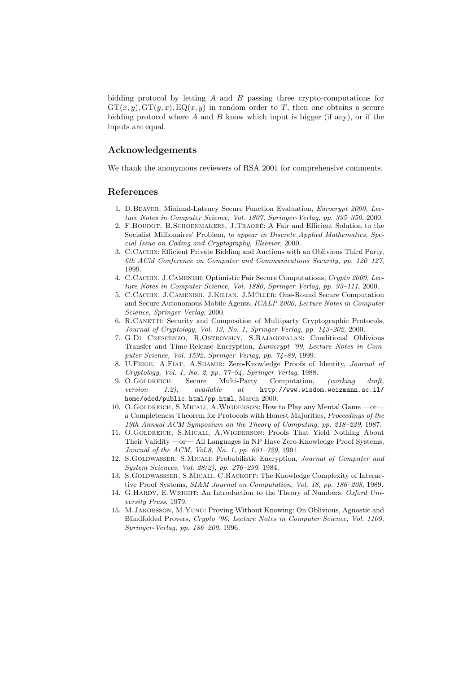bidding protocol by letting  $A$  and  $B$  passing three crypto-computations for  $GT(x, y), GT(y, x), EQ(x, y)$  in random order to T, then one obtains a secure bidding protocol where  $A$  and  $B$  know which input is bigger (if any), or if the inputs are equal.

# Acknowledgements

We thank the anonymous reviewers of RSA 2001 for comprehensive comments.

## References

- 1. D.Beaver: Minimal-Latency Secure Function Evaluation, Eurocrypt 2000, Lecture Notes in Computer Science, Vol. 1807, Springer-Verlag, pp. 335–350, 2000.
- 2. F.BOUDOT, B.SCHOENMAKERS, J.TRAORÉ: A Fair and Efficient Solution to the Socialist Millionaires' Problem, to appear in Discrete Applied Mathematics, Special Issue on Coding and Cryptography, Elsevier, 2000.
- 3. C.Cachin: Efficient Private Bidding and Auctions with an Oblivious Third Party, 6th ACM Conference on Computer and Communications Security, pp. 120–127, 1999.
- 4. C.Cachin, J.Camenish: Optimistic Fair Secure Computations, Crypto 2000, Lecture Notes in Computer Science, Vol. 1880, Springer-Verlag, pp. 93–111, 2000.
- 5. C.CACHIN, J.CAMENISH, J.KILIAN, J.MÜLLER: One-Round Secure Computation and Secure Autonomous Mobile Agents, ICALP 2000, Lecture Notes in Computer Science, Springer-Verlag, 2000.
- 6. R.Canetti: Security and Composition of Multiparty Cryptographic Protocols, Journal of Cryptology, Vol. 13, No. 1, Springer-Verlag, pp. 143–202, 2000.
- 7. G.Di Crescenzo, R.Ostrovsky, S.Rajagopalan: Conditional Oblivious Transfer and Time-Release Encryption, Eurocrypt '99, Lecture Notes in Computer Science, Vol. 1592, Springer-Verlag, pp. 74–89, 1999.
- 8. U.FEIGE, A.FIAT, A.SHAMIR: Zero-Knowledge Proofs of Identity, Journal of Cryptology, Vol. 1, No. 2, pp. 77–94, Springer-Verlag, 1988.
- 9. O.GOLDREICH: Secure Multi-Party Computation, (working draft, version  $1.2$ ), available at  $http://www.wisdom.weizmann.ac.i1/$ home/oded/public html/pp.html, March 2000.
- 10. O.Goldreich, S.Micali, A.Wigderson: How to Play any Mental Game —or a Completeness Theorem for Protocols with Honest Majorities, Proceedings of the 19th Annual ACM Symposium on the Theory of Computing, pp. 218–229, 1987.
- 11. O.Goldreich, S.Micali, A.Wigderson: Proofs That Yield Nothing About Their Validity —or— All Languages in NP Have Zero-Knowledge Proof Systems, Journal of the ACM, Vol.8, No. 1, pp. 691–729, 1991.
- 12. S.GOLDWASSER, S.MICALI: Probabilistic Encryption, Journal of Computer and System Sciences, Vol. 28(2), pp. 270–299, 1984.
- 13. S.Goldwassser, S.Micali, C.Rackoff: The Knowledge Complexity of Interactive Proof Systems, SIAM Journal on Computation, Vol. 18, pp. 186–208, 1989.
- 14. G.HARDY, E.WRIGHT: An Introduction to the Theory of Numbers, Oxford University Press, 1979.
- 15. M.Jakobsson, M.Yung: Proving Without Knowing: On Oblivious, Agnostic and Blindfolded Provers, Crypto '96, Lecture Notes in Computer Science, Vol. 1109, Springer-Verlag, pp. 186–200, 1996.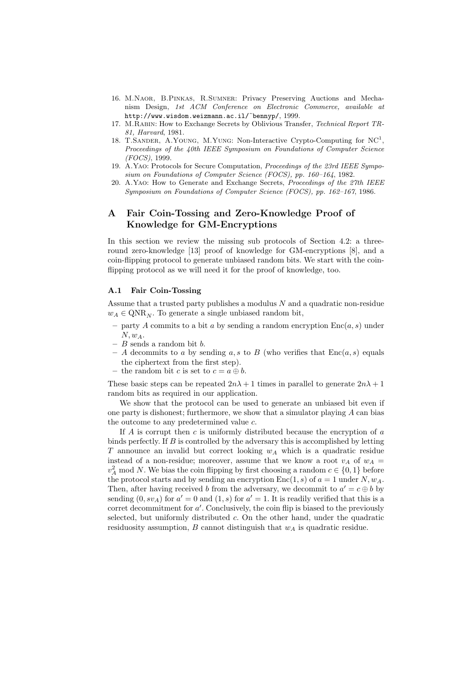- 16. M.Naor, B.Pinkas, R.Sumner: Privacy Preserving Auctions and Mechanism Design, 1st ACM Conference on Electronic Commerce, available at http://www.wisdom.weizmann.ac.il/˜bennyp/, 1999.
- 17. M.Rabin: How to Exchange Secrets by Oblivious Transfer, Technical Report TR-81, Harvard, 1981.
- 18. T.SANDER, A.YOUNG, M.YUNG: Non-Interactive Crypto-Computing for NC<sup>1</sup>, Proceedings of the 40th IEEE Symposium on Foundations of Computer Science (FOCS), 1999.
- 19. A.Yao: Protocols for Secure Computation, Proceedings of the 23rd IEEE Symposium on Foundations of Computer Science (FOCS), pp. 160–164, 1982.
- 20. A.Yao: How to Generate and Exchange Secrets, Proceedings of the 27th IEEE Symposium on Foundations of Computer Science (FOCS), pp. 162–167, 1986.

# A Fair Coin-Tossing and Zero-Knowledge Proof of Knowledge for GM-Encryptions

In this section we review the missing sub protocols of Section 4.2: a threeround zero-knowledge [13] proof of knowledge for GM-encryptions [8], and a coin-flipping protocol to generate unbiased random bits. We start with the coinflipping protocol as we will need it for the proof of knowledge, too.

#### A.1 Fair Coin-Tossing

Assume that a trusted party publishes a modulus  $N$  and a quadratic non-residue  $w_A \in \text{QNR}_N$ . To generate a single unbiased random bit,

- party A commits to a bit a by sending a random encryption  $Enc(a, s)$  under  $N$ ,  $w_A$ .
- $B$  sends a random bit  $b$ .
- A decommits to a by sending a, s to B (who verifies that  $Enc(a, s)$  equals the ciphertext from the first step).
- the random bit c is set to  $c = a \oplus b$ .

These basic steps can be repeated  $2n\lambda + 1$  times in parallel to generate  $2n\lambda + 1$ random bits as required in our application.

We show that the protocol can be used to generate an unbiased bit even if one party is dishonest; furthermore, we show that a simulator playing  $A$  can bias the outcome to any predetermined value c.

If  $A$  is corrupt then  $c$  is uniformly distributed because the encryption of  $a$ binds perfectly. If  $B$  is controlled by the adversary this is accomplished by letting T announce an invalid but correct looking  $w_A$  which is a quadratic residue instead of a non-residue; moreover, assume that we know a root  $v_A$  of  $w_A$  =  $v_A^2$  mod N. We bias the coin flipping by first choosing a random  $c \in \{0, 1\}$  before the protocol starts and by sending an encryption  $Enc(1, s)$  of  $a = 1$  under N,  $w<sub>A</sub>$ . Then, after having received b from the adversary, we decommit to  $a' = c \oplus b$  by sending  $(0, sv_A)$  for  $a' = 0$  and  $(1, s)$  for  $a' = 1$ . It is readily verified that this is a corret decommitment for  $a'$ . Conclusively, the coin flip is biased to the previously selected, but uniformly distributed  $c$ . On the other hand, under the quadratic residuosity assumption,  $B$  cannot distinguish that  $w<sub>A</sub>$  is quadratic residue.